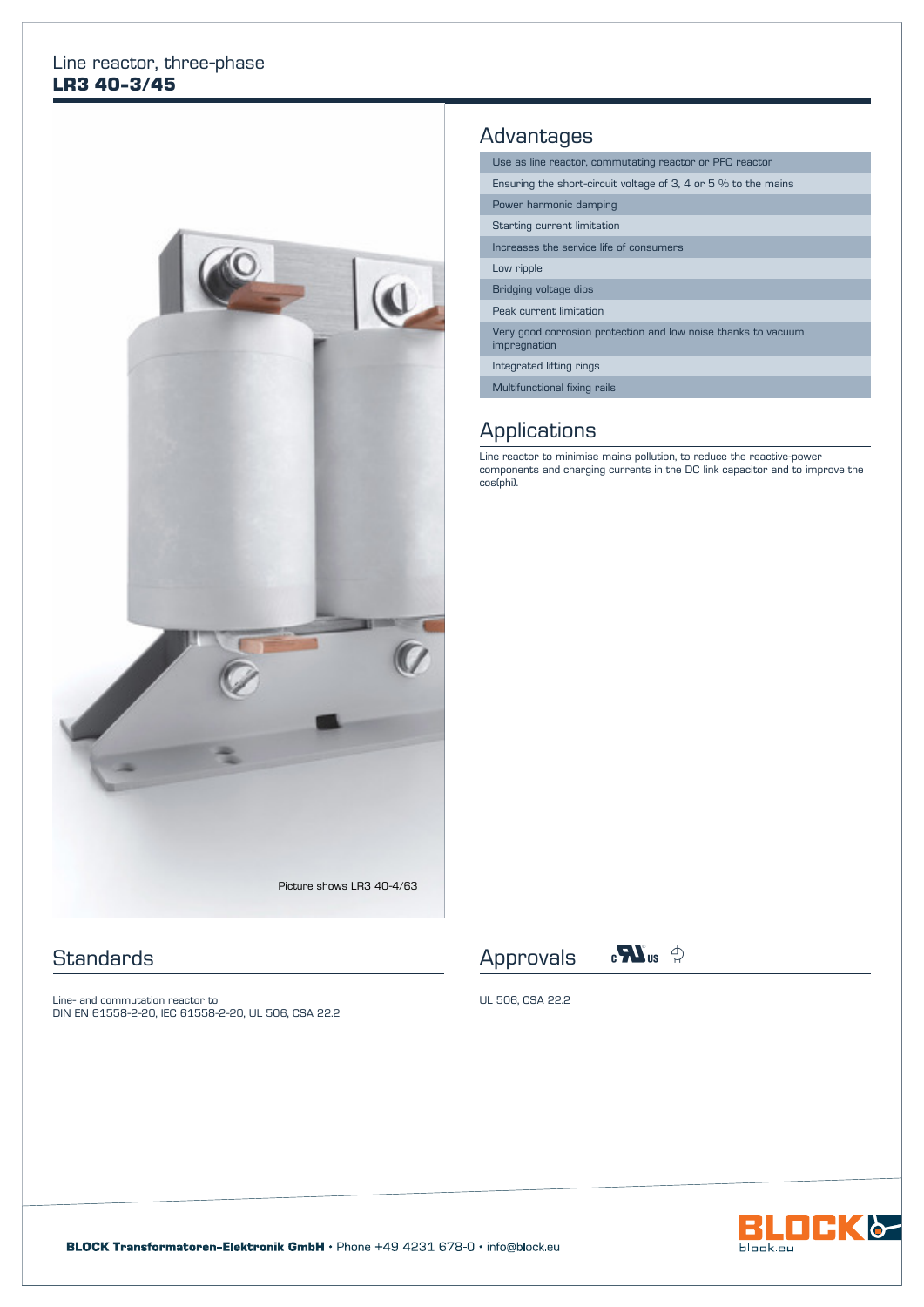#### Line reactor, three-phase **LR3 40-3/45**



#### **Standards**

Line- and commutation reactor to DIN EN 61558-2-20, IEC 61558-2-20, UL 506, CSA 22.2

## **Advantages**

Use as line reactor, commutating reactor or PFC reactor

Ensuring the short-circuit voltage of 3, 4 or 5 % to the mains

Power harmonic damping

Starting current limitation

Increases the service life of consumers

Low ripple

Bridging voltage dips

Peak current limitation

Very good corrosion protection and low noise thanks to vacuum impregnation

Integrated lifting rings

Multifunctional fixing rails

## **Applications**

Line reactor to minimise mains pollution, to reduce the reactive-power components and charging currents in the DC link capacitor and to improve the cos(phi).





UL 506, CSA 22.2